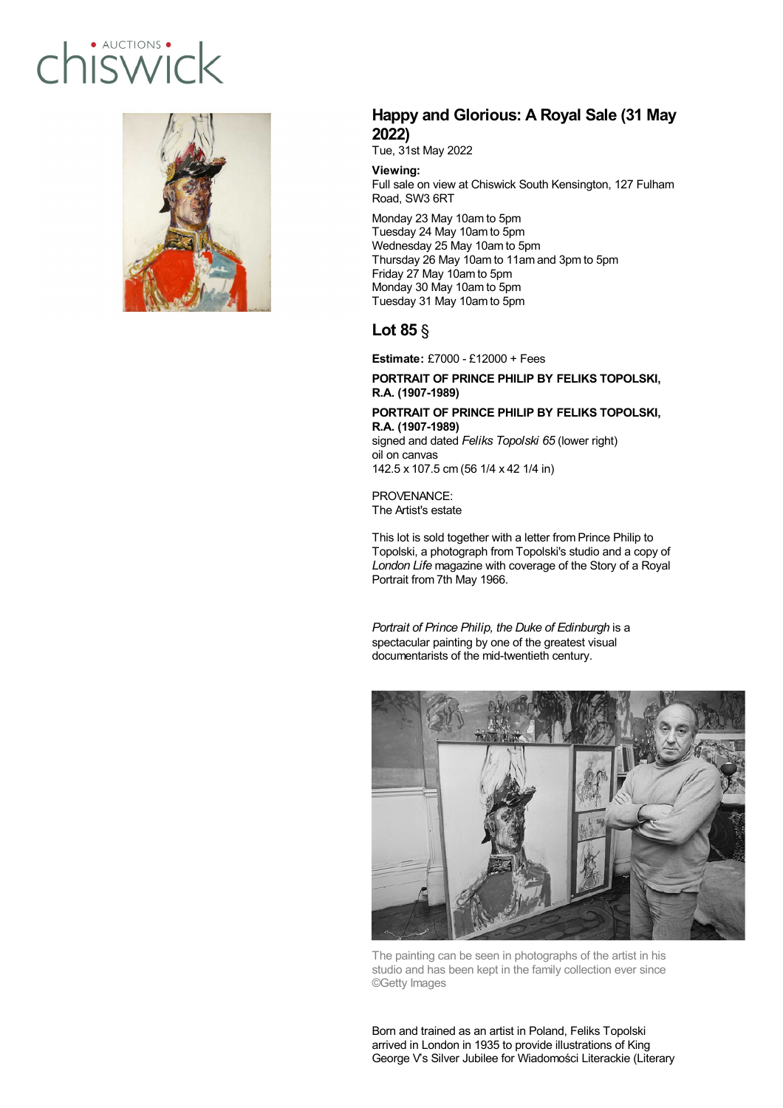# · AUCTIONS · hiswicl



### **Happy and Glorious: A Royal Sale (31 May 2022)**

Tue, 31st May 2022

**Viewing:**

Full sale on view at Chiswick South Kensington, 127 Fulham Road, SW3 6RT

Monday 23 May 10am to 5pm Tuesday 24 May 10am to 5pm Wednesday 25 May 10am to 5pm Thursday 26 May 10am to 11am and 3pm to 5pm Friday 27 May 10am to 5pm Monday 30 May 10am to 5pm Tuesday 31 May 10am to 5pm

## **Lot 85** §

**Estimate:** £7000 - £12000 + Fees

#### **PORTRAIT OF PRINCE PHILIP BY FELIKS TOPOLSKI, R.A. (1907-1989)**

**PORTRAIT OF PRINCE PHILIP BY FELIKS TOPOLSKI, R.A. (1907-1989)** signed and dated *Feliks Topolski 65* (lower right) oil on canvas

142.5 x 107.5 cm (56 1/4 x 42 1/4 in)

PROVENANCE: The Artist's estate

This lot is sold together with a letter from Prince Philip to Topolski, a photograph from Topolski's studio and a copy of *London Life* magazine with coverage of the Story of a Royal Portrait from 7th May 1966.

*Portrait of Prince Philip, the Duke of Edinburgh* is a spectacular painting by one of the greatest visual documentarists of the mid-twentieth century.



The painting can be seen in photographs of the artist in his studio and has been kept in the family collection ever since ©Getty Images

Born and trained as an artist in Poland, Feliks Topolski arrived in London in 1935 to provide illustrations of King George V's Silver Jubilee for Wiadomości Literackie (Literary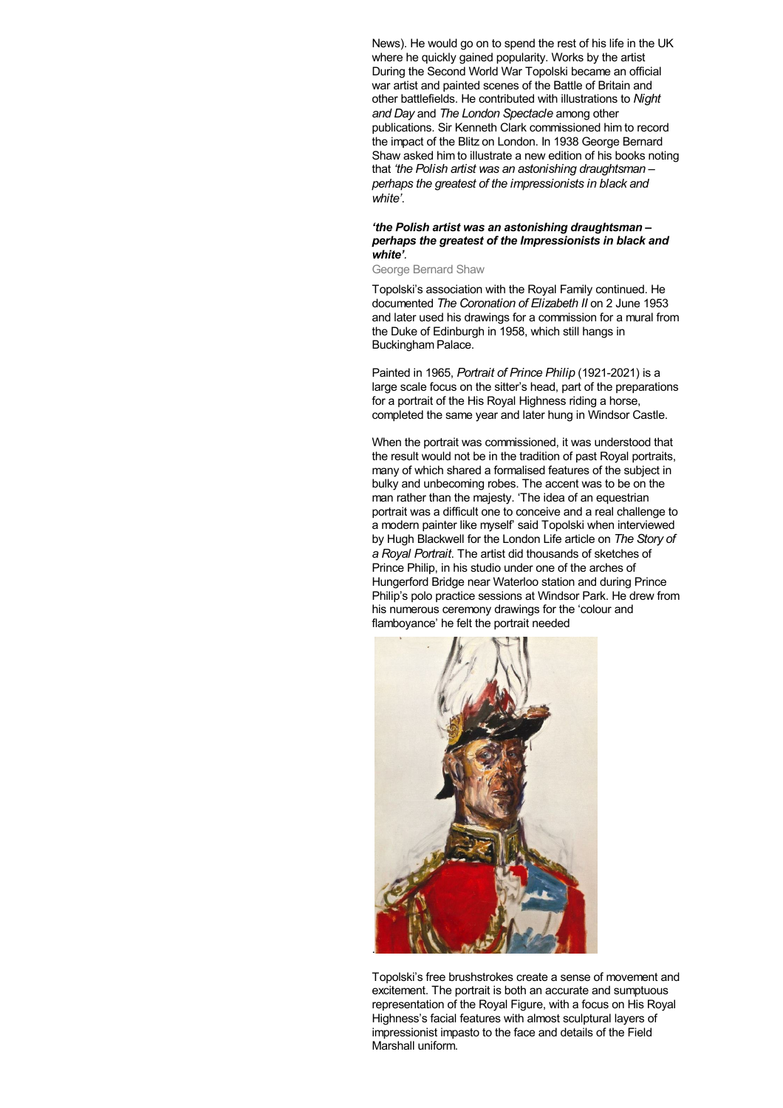News). He would go on to spend the rest of his life in the UK where he quickly gained popularity. Works by the artist During the Second World War Topolski became an official war artist and painted scenes of the Battle of Britain and other battlefields. He contributed with illustrations to *Night and Day* and *The London Spectacle* among other publications. Sir Kenneth Clark commissioned him to record the impact of the Blitz on London. In 1938 George Bernard Shaw asked him to illustrate a new edition of his books noting that *'the Polish artist was an astonishing draughtsman – perhaps the greatest of the impressionists in black and white'*.

#### *'the Polish artist was an astonishing draughtsman – perhaps the greatest of the Impressionists in black and white'.*

George Bernard Shaw

Topolski's association with the Royal Family continued. He documented *The Coronation of Elizabeth II* on 2 June 1953 and later used his drawings for a commission for a mural from the Duke of Edinburgh in 1958, which still hangs in Buckingham Palace.

Painted in 1965, *Portrait of Prince Philip* (1921-2021) is a large scale focus on the sitter's head, part of the preparations for a portrait of the His Royal Highness riding a horse, completed the same year and later hung in Windsor Castle.

When the portrait was commissioned, it was understood that the result would not be in the tradition of past Royal portraits, many of which shared a formalised features of the subject in bulky and unbecoming robes. The accent was to be on the man rather than the majesty. 'The idea of an equestrian portrait was a difficult one to conceive and a real challenge to a modern painter like myself' said Topolski when interviewed by Hugh Blackwell for the London Life article on *The Story of a Royal Portrait*. The artist did thousands of sketches of Prince Philip, in his studio under one of the arches of Hungerford Bridge near Waterloo station and during Prince Philip's polo practice sessions at Windsor Park. He drew from his numerous ceremony drawings for the 'colour and flamboyance' he felt the portrait needed



Topolski's free brushstrokes create a sense of movement and excitement. The portrait is both an accurate and sumptuous representation of the Royal Figure, with a focus on His Royal Highness's facial features with almost sculptural layers of impressionist impasto to the face and details of the Field Marshall uniform.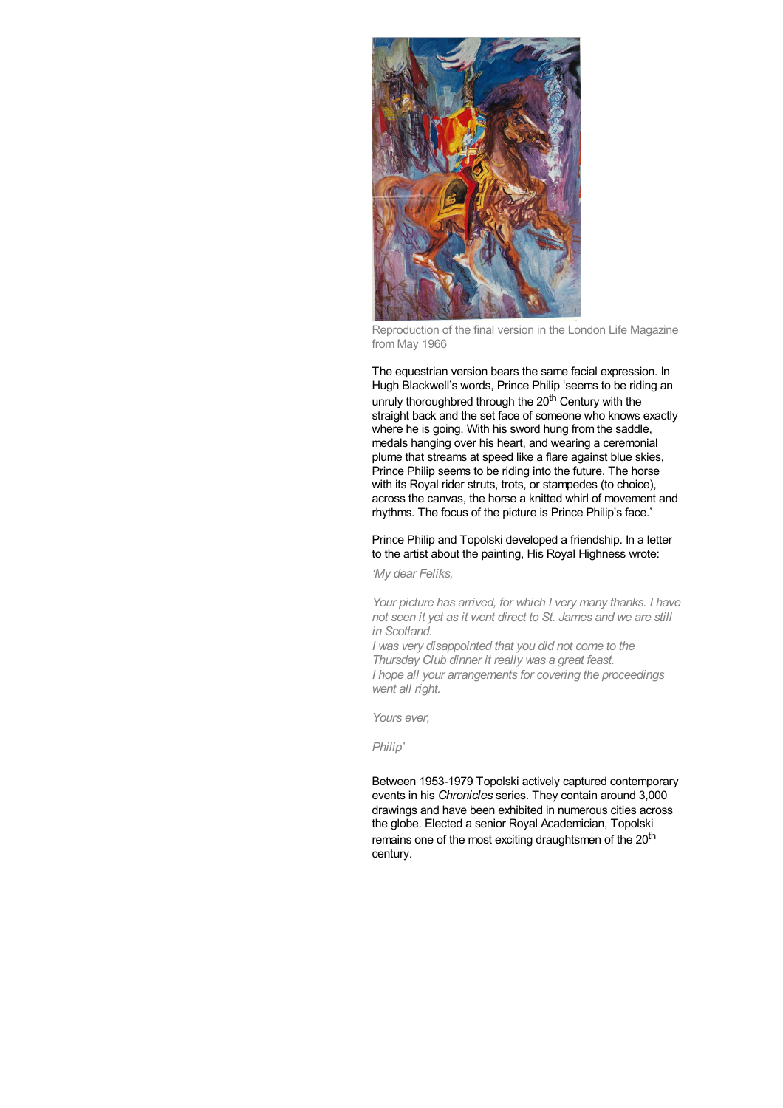

Reproduction of the final version in the London Life Magazine from May 1966

The equestrian version bears the same facial expression. In Hugh Blackwell's words, Prince Philip 'seems to be riding an unruly thoroughbred through the 20<sup>th</sup> Century with the straight back and the set face of someone who knows exactly where he is going. With his sword hung from the saddle, medals hanging over his heart, and wearing a ceremonial plume that streams at speed like a flare against blue skies, Prince Philip seems to be riding into the future. The horse with its Royal rider struts, trots, or stampedes (to choice). across the canvas, the horse a knitted whirl of movement and rhythms. The focus of the picture is Prince Philip's face.'

#### Prince Philip and Topolski developed a friendship. In a letter to the artist about the painting, His Royal Highness wrote:

*'My dear Feliks,*

*Your picture has arrived, for which I very many thanks. I have not seen it yet as it went direct to St. James and we are still in Scotland.*

*I was very disappointed that you did not come to the Thursday Club dinner it really was a great feast. I hope all your arrangements for covering the proceedings went all right.*

*Yours ever,*

*Philip'*

Between 1953-1979 Topolski actively captured contemporary events in his *Chronicles* series. They contain around 3,000 drawings and have been exhibited in numerous cities across the globe. Elected a senior Royal Academician, Topolski remains one of the most exciting draughtsmen of the 20<sup>th</sup> century.